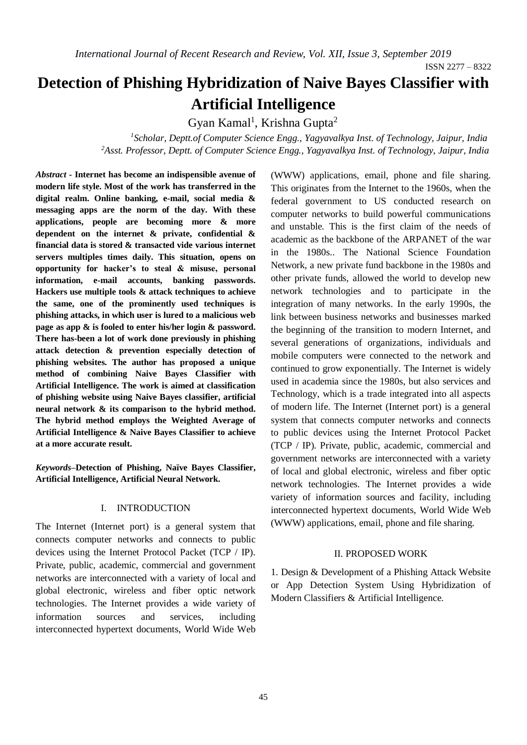# **Detection of Phishing Hybridization of Naive Bayes Classifier with Artificial Intelligence**

Gyan Kamal<sup>1</sup>, Krishna Gupta<sup>2</sup>

*<sup>1</sup>Scholar, Deptt.of Computer Science Engg., Yagyavalkya Inst. of Technology, Jaipur, India <sup>2</sup>Asst. Professor, Deptt. of Computer Science Engg., Yagyavalkya Inst. of Technology, Jaipur, India*

*Abstract -* **Internet has become an indispensible avenue of modern life style. Most of the work has transferred in the digital realm. Online banking, e-mail, social media & messaging apps are the norm of the day. With these applications, people are becoming more & more dependent on the internet & private, confidential & financial data is stored & transacted vide various internet servers multiples times daily. This situation, opens on opportunity for hacker's to steal & misuse, personal information, e-mail accounts, banking passwords. Hackers use multiple tools & attack techniques to achieve the same, one of the prominently used techniques is phishing attacks, in which user is lured to a malicious web page as app & is fooled to enter his/her login & password. There has-been a lot of work done previously in phishing attack detection & prevention especially detection of phishing websites. The author has proposed a unique method of combining Naive Bayes Classifier with Artificial Intelligence. The work is aimed at classification of phishing website using Naive Bayes classifier, artificial neural network & its comparison to the hybrid method. The hybrid method employs the Weighted Average of Artificial Intelligence & Naive Bayes Classifier to achieve at a more accurate result.**

*Keywords–***Detection of Phishing, Naïve Bayes Classifier, Artificial Intelligence, Artificial Neural Network.**

# I. INTRODUCTION

The Internet (Internet port) is a general system that connects computer networks and connects to public devices using the Internet Protocol Packet (TCP / IP). Private, public, academic, commercial and government networks are interconnected with a variety of local and global electronic, wireless and fiber optic network technologies. The Internet provides a wide variety of information sources and services, including interconnected hypertext documents, World Wide Web

(WWW) applications, email, phone and file sharing. This originates from the Internet to the 1960s, when the federal government to US conducted research on computer networks to build powerful communications and unstable. This is the first claim of the needs of academic as the backbone of the ARPANET of the war in the 1980s.. The National Science Foundation Network, a new private fund backbone in the 1980s and other private funds, allowed the world to develop new network technologies and to participate in the integration of many networks. In the early 1990s, the link between business networks and businesses marked the beginning of the transition to modern Internet, and several generations of organizations, individuals and mobile computers were connected to the network and continued to grow exponentially. The Internet is widely used in academia since the 1980s, but also services and Technology, which is a trade integrated into all aspects of modern life. The Internet (Internet port) is a general system that connects computer networks and connects to public devices using the Internet Protocol Packet (TCP / IP). Private, public, academic, commercial and government networks are interconnected with a variety of local and global electronic, wireless and fiber optic network technologies. The Internet provides a wide variety of information sources and facility, including interconnected hypertext documents, World Wide Web (WWW) applications, email, phone and file sharing.

## II. PROPOSED WORK

1. Design & Development of a Phishing Attack Website or App Detection System Using Hybridization of Modern Classifiers & Artificial Intelligence.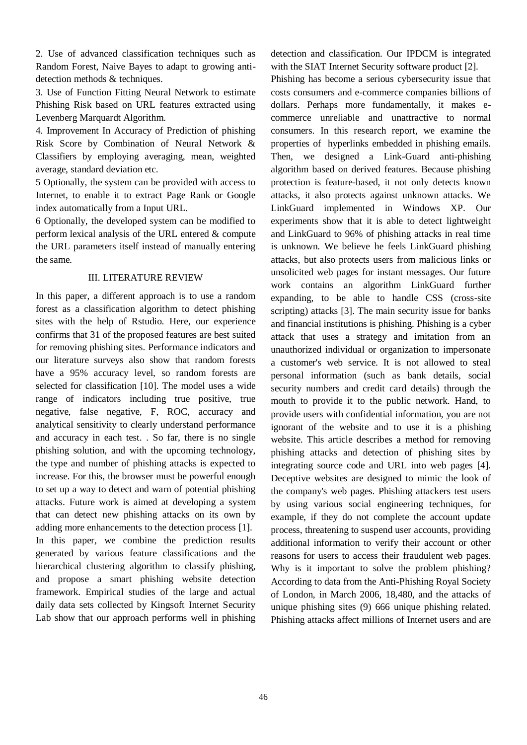2. Use of advanced classification techniques such as Random Forest, Naive Bayes to adapt to growing antidetection methods & techniques.

3. Use of Function Fitting Neural Network to estimate Phishing Risk based on URL features extracted using Levenberg Marquardt Algorithm.

4. Improvement In Accuracy of Prediction of phishing Risk Score by Combination of Neural Network & Classifiers by employing averaging, mean, weighted average, standard deviation etc.

5 Optionally, the system can be provided with access to Internet, to enable it to extract Page Rank or Google index automatically from a Input URL.

6 Optionally, the developed system can be modified to perform lexical analysis of the URL entered & compute the URL parameters itself instead of manually entering the same.

## III. LITERATURE REVIEW

In this paper, a different approach is to use a random forest as a classification algorithm to detect phishing sites with the help of Rstudio. Here, our experience confirms that 31 of the proposed features are best suited for removing phishing sites. Performance indicators and our literature surveys also show that random forests have a 95% accuracy level, so random forests are selected for classification [10]. The model uses a wide range of indicators including true positive, true negative, false negative, F, ROC, accuracy and analytical sensitivity to clearly understand performance and accuracy in each test. . So far, there is no single phishing solution, and with the upcoming technology, the type and number of phishing attacks is expected to increase. For this, the browser must be powerful enough to set up a way to detect and warn of potential phishing attacks. Future work is aimed at developing a system that can detect new phishing attacks on its own by adding more enhancements to the detection process [1]. In this paper, we combine the prediction results generated by various feature classifications and the hierarchical clustering algorithm to classify phishing, and propose a smart phishing website detection framework. Empirical studies of the large and actual daily data sets collected by Kingsoft Internet Security Lab show that our approach performs well in phishing

detection and classification. Our IPDCM is integrated with the SIAT Internet Security software product [2].

Phishing has become a serious cybersecurity issue that costs consumers and e-commerce companies billions of dollars. Perhaps more fundamentally, it makes ecommerce unreliable and unattractive to normal consumers. In this research report, we examine the properties of hyperlinks embedded in phishing emails. Then, we designed a Link-Guard anti-phishing algorithm based on derived features. Because phishing protection is feature-based, it not only detects known attacks, it also protects against unknown attacks. We LinkGuard implemented in Windows XP. Our experiments show that it is able to detect lightweight and LinkGuard to 96% of phishing attacks in real time is unknown. We believe he feels LinkGuard phishing attacks, but also protects users from malicious links or unsolicited web pages for instant messages. Our future work contains an algorithm LinkGuard further expanding, to be able to handle CSS (cross-site scripting) attacks [3]. The main security issue for banks and financial institutions is phishing. Phishing is a cyber attack that uses a strategy and imitation from an unauthorized individual or organization to impersonate a customer's web service. It is not allowed to steal personal information (such as bank details, social security numbers and credit card details) through the mouth to provide it to the public network. Hand, to provide users with confidential information, you are not ignorant of the website and to use it is a phishing website. This article describes a method for removing phishing attacks and detection of phishing sites by integrating source code and URL into web pages [4]. Deceptive websites are designed to mimic the look of the company's web pages. Phishing attackers test users by using various social engineering techniques, for example, if they do not complete the account update process, threatening to suspend user accounts, providing additional information to verify their account or other reasons for users to access their fraudulent web pages. Why is it important to solve the problem phishing? According to data from the Anti-Phishing Royal Society of London, in March 2006, 18,480, and the attacks of unique phishing sites (9) 666 unique phishing related. Phishing attacks affect millions of Internet users and are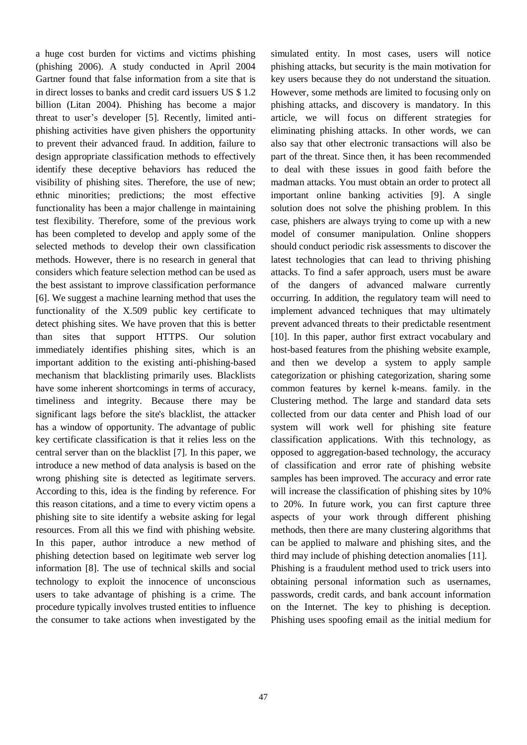a huge cost burden for victims and victims phishing (phishing 2006). A study conducted in April 2004 Gartner found that false information from a site that is in direct losses to banks and credit card issuers US \$ 1.2 billion (Litan 2004). Phishing has become a major threat to user's developer [5]. Recently, limited antiphishing activities have given phishers the opportunity to prevent their advanced fraud. In addition, failure to design appropriate classification methods to effectively identify these deceptive behaviors has reduced the visibility of phishing sites. Therefore, the use of new; ethnic minorities; predictions; the most effective functionality has been a major challenge in maintaining test flexibility. Therefore, some of the previous work has been completed to develop and apply some of the selected methods to develop their own classification methods. However, there is no research in general that considers which feature selection method can be used as the best assistant to improve classification performance [6]. We suggest a machine learning method that uses the functionality of the X.509 public key certificate to detect phishing sites. We have proven that this is better than sites that support HTTPS. Our solution immediately identifies phishing sites, which is an important addition to the existing anti-phishing-based mechanism that blacklisting primarily uses. Blacklists have some inherent shortcomings in terms of accuracy, timeliness and integrity. Because there may be significant lags before the site's blacklist, the attacker has a window of opportunity. The advantage of public key certificate classification is that it relies less on the central server than on the blacklist [7]. In this paper, we introduce a new method of data analysis is based on the wrong phishing site is detected as legitimate servers. According to this, idea is the finding by reference. For this reason citations, and a time to every victim opens a phishing site to site identify a website asking for legal resources. From all this we find with phishing website. In this paper, author introduce a new method of phishing detection based on legitimate web server log information [8]. The use of technical skills and social technology to exploit the innocence of unconscious users to take advantage of phishing is a crime. The procedure typically involves trusted entities to influence the consumer to take actions when investigated by the simulated entity. In most cases, users will notice phishing attacks, but security is the main motivation for key users because they do not understand the situation. However, some methods are limited to focusing only on phishing attacks, and discovery is mandatory. In this article, we will focus on different strategies for eliminating phishing attacks. In other words, we can also say that other electronic transactions will also be part of the threat. Since then, it has been recommended to deal with these issues in good faith before the madman attacks. You must obtain an order to protect all important online banking activities [9]. A single solution does not solve the phishing problem. In this case, phishers are always trying to come up with a new model of consumer manipulation. Online shoppers should conduct periodic risk assessments to discover the latest technologies that can lead to thriving phishing attacks. To find a safer approach, users must be aware of the dangers of advanced malware currently occurring. In addition, the regulatory team will need to implement advanced techniques that may ultimately prevent advanced threats to their predictable resentment [10]. In this paper, author first extract vocabulary and host-based features from the phishing website example, and then we develop a system to apply sample categorization or phishing categorization, sharing some common features by kernel k-means. family. in the Clustering method. The large and standard data sets collected from our data center and Phish load of our system will work well for phishing site feature classification applications. With this technology, as opposed to aggregation-based technology, the accuracy of classification and error rate of phishing website samples has been improved. The accuracy and error rate will increase the classification of phishing sites by 10% to 20%. In future work, you can first capture three aspects of your work through different phishing methods, then there are many clustering algorithms that can be applied to malware and phishing sites, and the third may include of phishing detection anomalies [11]. Phishing is a fraudulent method used to trick users into obtaining personal information such as usernames, passwords, credit cards, and bank account information on the Internet. The key to phishing is deception. Phishing uses spoofing email as the initial medium for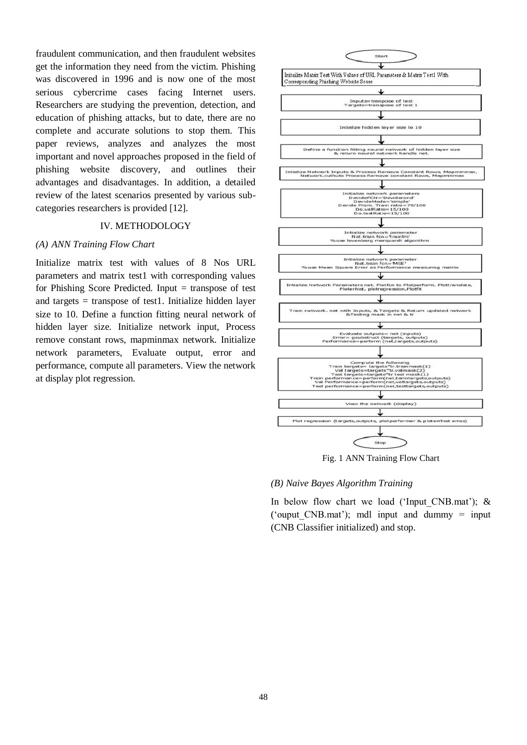fraudulent communication, and then fraudulent websites get the information they need from the victim. Phishing was discovered in 1996 and is now one of the most serious cybercrime cases facing Internet users. Researchers are studying the prevention, detection, and education of phishing attacks, but to date, there are no complete and accurate solutions to stop them. This paper reviews, analyzes and analyzes the most important and novel approaches proposed in the field of phishing website discovery, and outlines their advantages and disadvantages. In addition, a detailed review of the latest scenarios presented by various subcategories researchers is provided [12].

## IV. METHODOLOGY

#### *(A) ANN Training Flow Chart*

Initialize matrix test with values of 8 Nos URL parameters and matrix test1 with corresponding values for Phishing Score Predicted. Input  $=$  transpose of test and targets = transpose of test1. Initialize hidden layer size to 10. Define a function fitting neural network of hidden layer size. Initialize network input, Process remove constant rows, mapminmax network. Initialize network parameters, Evaluate output, error and performance, compute all parameters. View the network at display plot regression.



Fig. 1 ANN Training Flow Chart

#### *(B) Naive Bayes Algorithm Training*

In below flow chart we load ('Input CNB.mat');  $\&$ ('ouput CNB.mat'); mdl input and dummy  $=$  input (CNB Classifier initialized) and stop.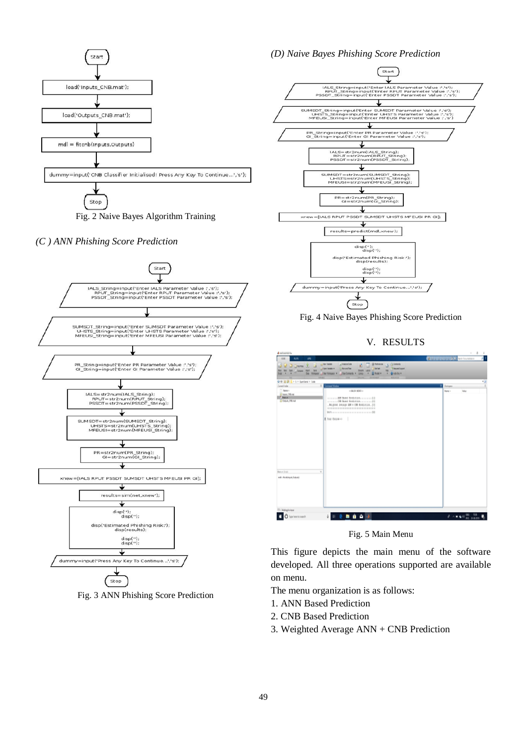

*(C ) ANN Phishing Score Prediction*



Fig. 3 ANN Phishing Score Prediction

## *(D) Naive Bayes Phishing Score Prediction*



Fig. 4 Naive Bayes Phishing Score Prediction

V. RESULTS

| <b>A MARJA KATAL</b>                                                                                                                                |                                                                                                                                                                                                                                                                                                        | $\theta$<br>$\sim$<br>×                      |
|-----------------------------------------------------------------------------------------------------------------------------------------------------|--------------------------------------------------------------------------------------------------------------------------------------------------------------------------------------------------------------------------------------------------------------------------------------------------------|----------------------------------------------|
| <b>HAR</b><br><b>AIN</b><br>am.<br><b>D</b> gives<br>3ł<br>ш<br><b>Sec</b><br><b>Band</b><br><b>Cours</b><br>ш<br><b>Weissex</b><br><b>Feb</b><br>- | $I$ travelets<br><b>D</b> Gimmy<br><b>B hatcocks</b><br>Li fare Variata<br>e<br><sup>1</sup> Answer Agent<br>U for and Tree<br><b>End Park</b><br>J San Velate +<br><b>South Lend</b><br>m<br><b>BARNEY</b><br><b>Jan Green</b><br><b>Auto</b><br><b>Arry</b><br><b>JOHN HANNA</b><br><b>RESIDENCE</b> | a i<br><b>All Parties and AD</b> and homests |
| 0 0 3 3 1 + 1 + fundame + Cole                                                                                                                      |                                                                                                                                                                                                                                                                                                        | $1 - 3$                                      |
| ×<br>Current Folder                                                                                                                                 | <b>Immand Window</b>                                                                                                                                                                                                                                                                                   | fishawa                                      |
| C Rene i<br>Treat, Officed<br><b>Called</b><br><b>Base Blue</b><br>¥<br>Manuel (Long)<br>nd - Robbydchtpdc                                          | COMER MERCIO<br>Boughted Aresous AM = 000 Feedberger . (3)<br>A Tree (house-1)                                                                                                                                                                                                                         | Nets 1<br><b>TAX</b>                         |
| <b>The Walling for Input</b><br>O fige here to search                                                                                               | 0 0 0 0 0 0 0                                                                                                                                                                                                                                                                                          | $A - B = 0.05$                               |

Fig. 5 Main Menu

This figure depicts the main menu of the software developed. All three operations supported are available on menu.

The menu organization is as follows:

- 1. ANN Based Prediction
- 2. CNB Based Prediction
- 3. Weighted Average ANN + CNB Prediction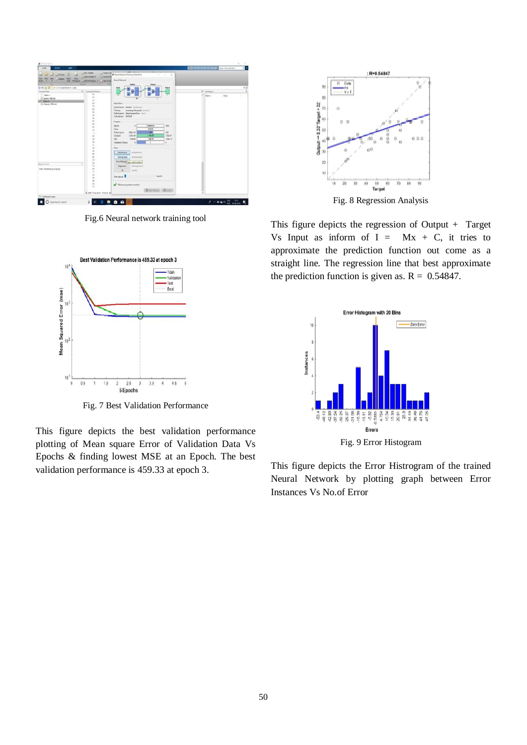

Fig.6 Neural network training tool



Fig. 7 Best Validation Performance

This figure depicts the best validation performance plotting of Mean square Error of Validation Data Vs Epochs & finding lowest MSE at an Epoch. The best validation performance is 459.33 at epoch 3.



Fig. 8 Regression Analysis

This figure depicts the regression of Output + Target Vs Input as inform of  $I = Mx + C$ , it tries to approximate the prediction function out come as a straight line. The regression line that best approximate the prediction function is given as.  $R = 0.54847$ .



This figure depicts the Error Histrogram of the trained Neural Network by plotting graph between Error Instances Vs No.of Error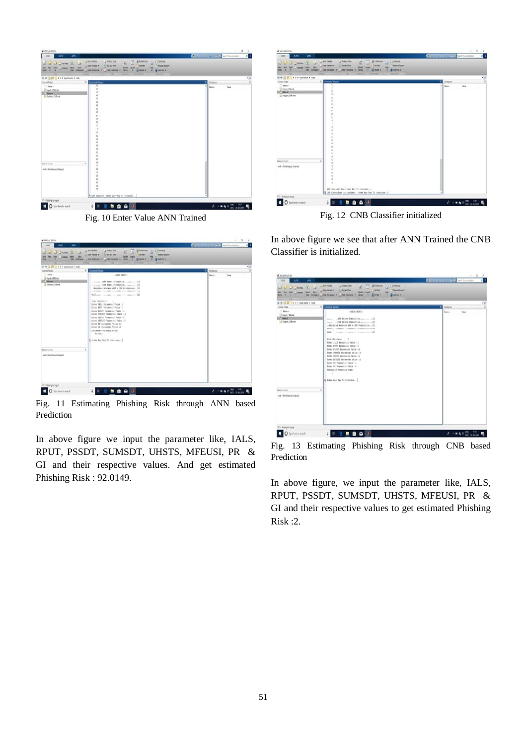

Fig. 10 Enter Value ANN Trained

| A UATLAS KIEVIL                                                                           |                                                                                                                                                                                                                                                                                                                                                                                                                                                                                                                              | ë                                                  |
|-------------------------------------------------------------------------------------------|------------------------------------------------------------------------------------------------------------------------------------------------------------------------------------------------------------------------------------------------------------------------------------------------------------------------------------------------------------------------------------------------------------------------------------------------------------------------------------------------------------------------------|----------------------------------------------------|
| œ<br>A.JPL<br><b>ATA</b><br><b>Linetee</b><br><b>Junet</b><br><b>Band</b><br>Int<br>m.    | L Connerte<br>of Antiste Exist<br>(1) Rest Streets<br><b>G Futeacos</b><br>×<br>7 Bennet Loose<br><b>Exchange</b><br><b>Like and Time</b><br><b>Village Location of</b><br><b>GAMDA'S</b><br><b>Class Connection</b><br>Li Parado e<br>Hotson's J Des Hotson's T<br><b>TANKS</b><br>٠<br><b>MELINEE</b><br><b>House</b>                                                                                                                                                                                                      | <b>CHITAGE COMPANY</b><br>×<br>Team Discoveriation |
| 中华 四四<br># E & Syn Earnel & Code                                                          |                                                                                                                                                                                                                                                                                                                                                                                                                                                                                                                              | 11                                                 |
| Current Futiles<br>C Here is<br>To hands Chill must<br><b>F</b> Male<br>D Dayon, Olli nat | $\mathbb{R}$<br>Communal Mindson<br>110829-1030211<br>Tremmers AME Based Predictions records [8]<br>. Makabasan Amerikan AMF a CMR Westcomics (19)<br>Total Christman<br>Ester IALS Farancies Value (2)<br>Enter BIVT Passester Value 15<br><b>Robert FRONT Parameters Value 18</b><br>Roter HMMH Parameter Value 13<br>Asses DAVID Researces Value (6)<br>Enter HPETEE Sepanning Value 12<br>Estar 25 Taranstar Value 11<br>Runne of Passester Value 14<br>Estimated Fasshing ELERI<br>41.4145<br>A river by my to continue | Websex<br>Tata<br>Name of                          |
| <b>MAIN GIAS</b>                                                                          | ×.                                                                                                                                                                                                                                                                                                                                                                                                                                                                                                                           |                                                    |
| auba Noskolapan (kapaté                                                                   |                                                                                                                                                                                                                                                                                                                                                                                                                                                                                                                              |                                                    |
| Waltright Input                                                                           |                                                                                                                                                                                                                                                                                                                                                                                                                                                                                                                              |                                                    |
| O Type here to search                                                                     | .<br><b>BI</b><br>û                                                                                                                                                                                                                                                                                                                                                                                                                                                                                                          | $A \wedge B \otimes W$ and maxim                   |

Fig. 11 Estimating Phishing Risk through ANN based Prediction

In above figure we input the parameter like, IALS, RPUT, PSSDT, SUMSDT, UHSTS, MFEUSI, PR & GI and their respective values. And get estimated Phishing Risk : 92.0149.



Fig. 12 CNB Classifier initialized

In above figure we see that after ANN Trained the CNB Classifier is initialized.

| <b>D</b> District<br><b>Said</b><br>-<br>ment<br>m<br><b>See</b><br><b>Conces</b> | L. Revi Variate<br>Li Kralske Eleite<br><b>III</b> February<br>/ Linners<br>$\mathfrak{g}_I$<br><b>MAR</b><br>1 Reject Service<br>Lither Virgin ><br>/ Read for<br><b>Small</b><br>÷                                                                                                                                                                                                                                                                                                                             |                             |
|-----------------------------------------------------------------------------------|------------------------------------------------------------------------------------------------------------------------------------------------------------------------------------------------------------------------------------------------------------------------------------------------------------------------------------------------------------------------------------------------------------------------------------------------------------------------------------------------------------------|-----------------------------|
| W.<br><b>Links</b><br>٠<br>٠<br>辛辛 百四<br># E # Ganitanal # Cole                   | <b>Hotepain J Che Hotepain +</b><br>J Che Connects : n . Links<br><b>SE PERMIT</b><br><b>BANDAY</b><br><b>MAGAZIN</b><br>$-1$                                                                                                                                                                                                                                                                                                                                                                                    | $x \neq$                    |
| <b>Carroll Falley</b>                                                             | <b>Canadiana</b>                                                                                                                                                                                                                                                                                                                                                                                                                                                                                                 | <b><i><u>NASAAL</u></i></b> |
| lians :<br>Vesti (Minia                                                           | college service                                                                                                                                                                                                                                                                                                                                                                                                                                                                                                  | Vot<br>New 1                |
| <b>Financia</b><br>III bajus, Dillinar                                            | creation (30 Based Participan contered) [2]<br>. Weighted Avenue AMM = (98 Fremancies, [31]<br>Billion communication of the Communication of the<br>Your Goldmont<br>Enter 1813 Facanetes Value 12<br>Enter AFIT Facaneter Telos (3)<br>Banay 95507 Personales Value 19<br>Enter STAGET Surgester Value (8)<br>Estas ONTO Pacasatas Value 15<br>Ennes NFETIT Passenner Value (2)<br>Enter F6 Paraneter Value 11<br>Enne 62 Formentes Value 14<br>Estimated Phiability Riaki.<br>×<br>& frees any fay to continue |                             |
| Make at Sunan                                                                     | ¥                                                                                                                                                                                                                                                                                                                                                                                                                                                                                                                |                             |
| mill a Northfrepolis Dolprake                                                     |                                                                                                                                                                                                                                                                                                                                                                                                                                                                                                                  |                             |

Fig. 13 Estimating Phishing Risk through CNB based Prediction

In above figure, we input the parameter like, IALS, RPUT, PSSDT, SUMSDT, UHSTS, MFEUSI, PR & GI and their respective values to get estimated Phishing Risk :2.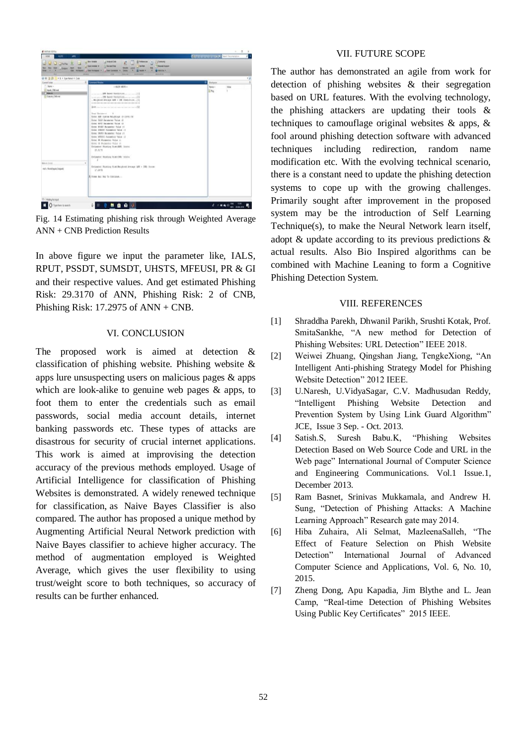

Fig. 14 Estimating phishing risk through Weighted Average ANN + CNB Prediction Results

In above figure we input the parameter like, IALS, RPUT, PSSDT, SUMSDT, UHSTS, MFEUSI, PR & GI and their respective values. And get estimated Phishing Risk: 29.3170 of ANN, Phishing Risk: 2 of CNB, Phishing Risk: 17.2975 of ANN + CNB.

# VI. CONCLUSION

The proposed work is aimed at detection & classification of phishing website. Phishing website & apps lure unsuspecting users on malicious pages & apps which are look-alike to genuine web pages & apps, to foot them to enter the credentials such as email passwords, social media account details, internet banking passwords etc. These types of attacks are disastrous for security of crucial internet applications. This work is aimed at improvising the detection accuracy of the previous methods employed. Usage of Artificial Intelligence for classification of Phishing Websites is demonstrated. A widely renewed technique for classification, as Naive Bayes Classifier is also compared. The author has proposed a unique method by Augmenting Artificial Neural Network prediction with Naive Bayes classifier to achieve higher accuracy. The method of augmentation employed is Weighted Average, which gives the user flexibility to using trust/weight score to both techniques, so accuracy of results can be further enhanced.

# VII. FUTURE SCOPE

The author has demonstrated an agile from work for detection of phishing websites & their segregation based on URL features. With the evolving technology, the phishing attackers are updating their tools & techniques to camouflage original websites & apps, & fool around phishing detection software with advanced techniques including redirection, random name modification etc. With the evolving technical scenario, there is a constant need to update the phishing detection systems to cope up with the growing challenges. Primarily sought after improvement in the proposed system may be the introduction of Self Learning Technique(s), to make the Neural Network learn itself, adopt & update according to its previous predictions & actual results. Also Bio Inspired algorithms can be combined with Machine Leaning to form a Cognitive Phishing Detection System.

## VIII. REFERENCES

- [1] Shraddha Parekh, Dhwanil Parikh, Srushti Kotak, Prof. SmitaSankhe, "A new method for Detection of Phishing Websites: URL Detection" IEEE 2018.
- [2] Weiwei Zhuang, Qingshan Jiang, TengkeXiong, "An Intelligent Anti-phishing Strategy Model for Phishing Website Detection" 2012 IEEE.
- [3] U.Naresh, U.VidyaSagar, C.V. Madhusudan Reddy, "Intelligent Phishing Website Detection and Prevention System by Using Link Guard Algorithm" JCE, Issue 3 Sep. - Oct. 2013.
- [4] Satish.S, Suresh Babu.K, "Phishing Websites Detection Based on Web Source Code and URL in the Web page" International Journal of Computer Science and Engineering Communications. Vol.1 Issue.1, December 2013.
- [5] Ram Basnet, Srinivas Mukkamala, and Andrew H. Sung, "Detection of Phishing Attacks: A Machine Learning Approach" Research gate may 2014.
- [6] Hiba Zuhaira, Ali Selmat, MazleenaSalleh, "The Effect of Feature Selection on Phish Website Detection" International Journal of Advanced Computer Science and Applications, Vol. 6, No. 10, 2015.
- [7] Zheng Dong, Apu Kapadia, Jim Blythe and L. Jean Camp, "Real-time Detection of Phishing Websites Using Public Key Certificates" 2015 IEEE.